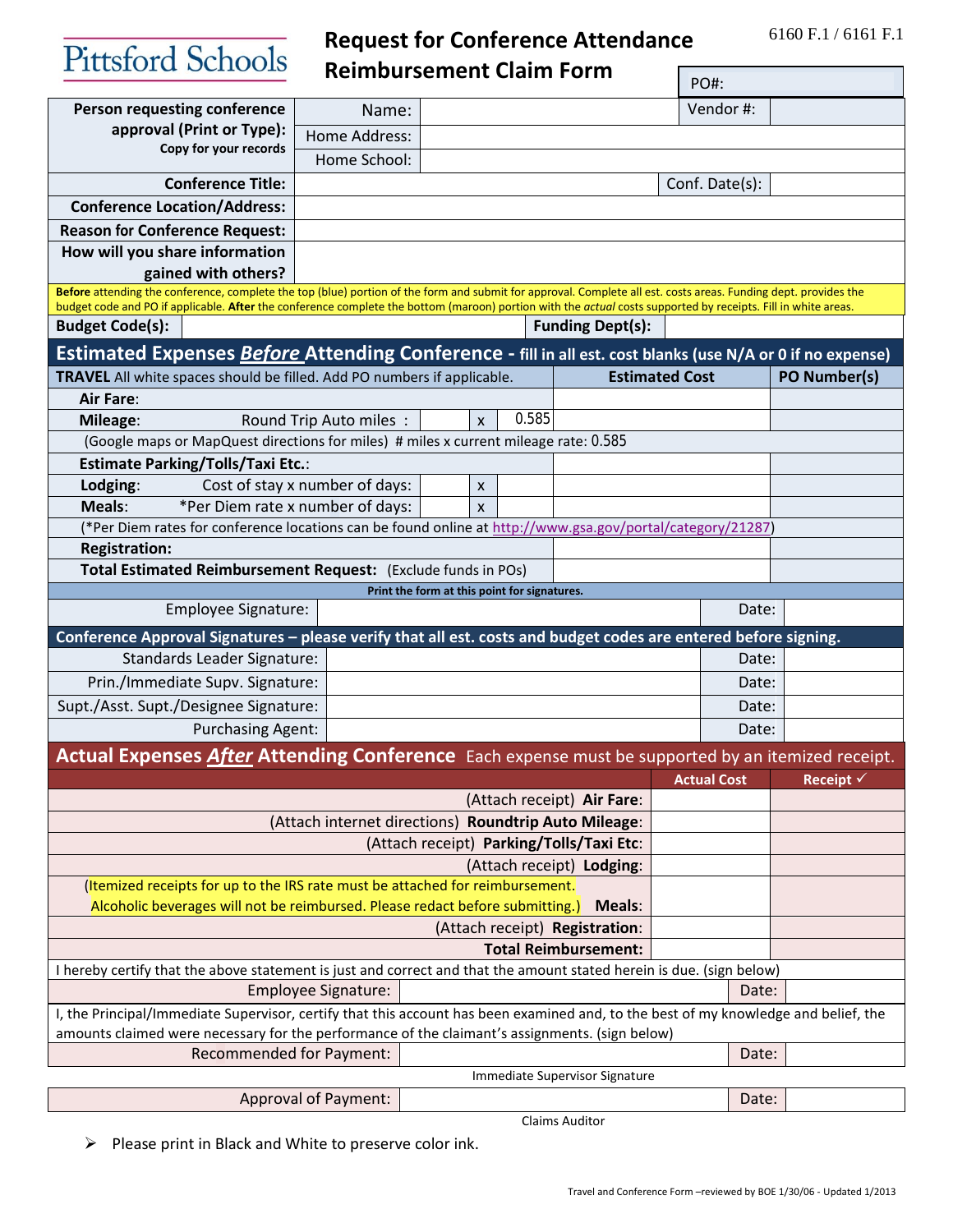6160 F.1 / 6161 F.1

Pittsford Schools

**Request for Conference Attendance Reimbursement Claim Form** 

|                                                                                                                                                                                                                                                                                                                                  |                                |                                              |                            | PO#: |                |                  |
|----------------------------------------------------------------------------------------------------------------------------------------------------------------------------------------------------------------------------------------------------------------------------------------------------------------------------------|--------------------------------|----------------------------------------------|----------------------------|------|----------------|------------------|
| <b>Person requesting conference</b>                                                                                                                                                                                                                                                                                              | Name:                          |                                              |                            |      | Vendor#:       |                  |
| approval (Print or Type):                                                                                                                                                                                                                                                                                                        | Home Address:                  |                                              |                            |      |                |                  |
| Copy for your records                                                                                                                                                                                                                                                                                                            | Home School:                   |                                              |                            |      |                |                  |
| <b>Conference Title:</b>                                                                                                                                                                                                                                                                                                         | Conf. Date(s):                 |                                              |                            |      |                |                  |
| <b>Conference Location/Address:</b>                                                                                                                                                                                                                                                                                              |                                |                                              |                            |      |                |                  |
| <b>Reason for Conference Request:</b>                                                                                                                                                                                                                                                                                            |                                |                                              |                            |      |                |                  |
| How will you share information                                                                                                                                                                                                                                                                                                   |                                |                                              |                            |      |                |                  |
| gained with others?                                                                                                                                                                                                                                                                                                              |                                |                                              |                            |      |                |                  |
| Before attending the conference, complete the top (blue) portion of the form and submit for approval. Complete all est. costs areas. Funding dept. provides the<br>budget code and PO if applicable. After the conference complete the bottom (maroon) portion with the actual costs supported by receipts. Fill in white areas. |                                |                                              |                            |      |                |                  |
| <b>Budget Code(s):</b>                                                                                                                                                                                                                                                                                                           |                                |                                              | <b>Funding Dept(s):</b>    |      |                |                  |
| Estimated Expenses Before Attending Conference - fill in all est. cost blanks (use N/A or 0 if no expense)                                                                                                                                                                                                                       |                                |                                              |                            |      |                |                  |
| TRAVEL All white spaces should be filled. Add PO numbers if applicable.                                                                                                                                                                                                                                                          |                                |                                              | <b>Estimated Cost</b>      |      |                | PO Number(s)     |
| <b>Air Fare:</b>                                                                                                                                                                                                                                                                                                                 |                                |                                              |                            |      |                |                  |
| Mileage:                                                                                                                                                                                                                                                                                                                         | Round Trip Auto miles:         | 0.585<br>$\mathsf{x}$                        |                            |      |                |                  |
| (Google maps or MapQuest directions for miles) # miles x current mileage rate: 0.585                                                                                                                                                                                                                                             |                                |                                              |                            |      |                |                  |
| <b>Estimate Parking/Tolls/Taxi Etc.:</b>                                                                                                                                                                                                                                                                                         |                                |                                              |                            |      |                |                  |
| Lodging:                                                                                                                                                                                                                                                                                                                         | Cost of stay x number of days: | X                                            |                            |      |                |                  |
| Meals:<br>*Per Diem rate x number of days:<br>X                                                                                                                                                                                                                                                                                  |                                |                                              |                            |      |                |                  |
| (*Per Diem rates for conference locations can be found online at http://www.gsa.gov/portal/category/21287)                                                                                                                                                                                                                       |                                |                                              |                            |      |                |                  |
| <b>Registration:</b>                                                                                                                                                                                                                                                                                                             |                                |                                              |                            |      |                |                  |
| Total Estimated Reimbursement Request: (Exclude funds in POs)                                                                                                                                                                                                                                                                    |                                |                                              |                            |      |                |                  |
| <b>Employee Signature:</b>                                                                                                                                                                                                                                                                                                       |                                | Print the form at this point for signatures. |                            |      | Date:          |                  |
| Conference Approval Signatures - please verify that all est. costs and budget codes are entered before signing.                                                                                                                                                                                                                  |                                |                                              |                            |      |                |                  |
| <b>Standards Leader Signature:</b>                                                                                                                                                                                                                                                                                               |                                |                                              |                            |      | Date:          |                  |
| Prin./Immediate Supv. Signature:                                                                                                                                                                                                                                                                                                 |                                |                                              |                            |      | Date:          |                  |
| Supt./Asst. Supt./Designee Signature:                                                                                                                                                                                                                                                                                            |                                |                                              |                            |      |                |                  |
| <b>Purchasing Agent:</b>                                                                                                                                                                                                                                                                                                         |                                |                                              |                            |      | Date:<br>Date: |                  |
|                                                                                                                                                                                                                                                                                                                                  |                                |                                              |                            |      |                |                  |
| Actual Expenses After Attending Conference Each expense must be supported by an itemized receipt.<br><b>Actual Cost</b>                                                                                                                                                                                                          |                                |                                              |                            |      |                |                  |
|                                                                                                                                                                                                                                                                                                                                  |                                |                                              | (Attach receipt) Air Fare: |      |                | <b>Receipt √</b> |
| (Attach internet directions) Roundtrip Auto Mileage:                                                                                                                                                                                                                                                                             |                                |                                              |                            |      |                |                  |
| (Attach receipt) Parking/Tolls/Taxi Etc:                                                                                                                                                                                                                                                                                         |                                |                                              |                            |      |                |                  |
| (Attach receipt) Lodging:                                                                                                                                                                                                                                                                                                        |                                |                                              |                            |      |                |                  |
| (Itemized receipts for up to the IRS rate must be attached for reimbursement.                                                                                                                                                                                                                                                    |                                |                                              |                            |      |                |                  |
| Alcoholic beverages will not be reimbursed. Please redact before submitting.)<br>Meals:                                                                                                                                                                                                                                          |                                |                                              |                            |      |                |                  |
|                                                                                                                                                                                                                                                                                                                                  |                                | (Attach receipt) Registration:               |                            |      |                |                  |
| <b>Total Reimbursement:</b>                                                                                                                                                                                                                                                                                                      |                                |                                              |                            |      |                |                  |
| I hereby certify that the above statement is just and correct and that the amount stated herein is due. (sign below)                                                                                                                                                                                                             |                                |                                              |                            |      |                |                  |
| <b>Employee Signature:</b>                                                                                                                                                                                                                                                                                                       |                                |                                              |                            |      | Date:          |                  |
| I, the Principal/Immediate Supervisor, certify that this account has been examined and, to the best of my knowledge and belief, the<br>amounts claimed were necessary for the performance of the claimant's assignments. (sign below)                                                                                            |                                |                                              |                            |      |                |                  |
|                                                                                                                                                                                                                                                                                                                                  |                                |                                              |                            |      |                |                  |
| <b>Recommended for Payment:</b><br>Date:<br>Immediate Supervisor Signature                                                                                                                                                                                                                                                       |                                |                                              |                            |      |                |                  |
| Approval of Payment:                                                                                                                                                                                                                                                                                                             |                                |                                              |                            |      |                |                  |
|                                                                                                                                                                                                                                                                                                                                  |                                |                                              |                            |      | Date:          |                  |

Claims Auditor

 $\triangleright$  Please print in Black and White to preserve color ink.